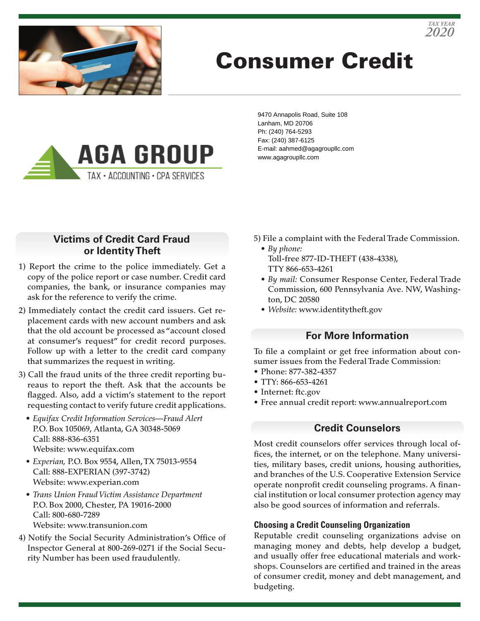

# Consumer Credit



9470 Annapolis Road, Suite 108 Lanham, MD 20706 Ph: (240) 764-5293 Fax: (240) 387-6125 E-mail: aahmed@agagroupllc.com www.agagroupllc.com

### **Victims of Credit Card Fraud or Identity Theft**

- 1) Report the crime to the police immediately. Get a copy of the police report or case number. Credit card companies, the bank, or insurance companies may ask for the reference to verify the crime.
- 2) Immediately contact the credit card issuers. Get replacement cards with new account numbers and ask that the old account be processed as "account closed at consumer's request" for credit record purposes. Follow up with a letter to the credit card company that summarizes the request in writing.
- 3) Call the fraud units of the three credit reporting bureaus to report the theft. Ask that the accounts be flagged. Also, add a victim's statement to the report requesting contact to verify future credit applications.
	- *Equifax Credit Information Services—Fraud Alert* P.O. Box 105069, Atlanta, GA 30348-5069 Call: 888-836-6351 Website: www.equifax.com
	- *Experian,* P.O. Box 9554, Allen, TX 75013-9554 Call: 888-EXPERIAN (397-3742) Website: www.experian.com
	- *Trans Union Fraud Victim Assistance Department* P.O. Box 2000, Chester, PA 19016-2000 Call: 800-680-7289 Website: www.transunion.com
- 4) Notify the Social Security Administration's Office of Inspector General at 800-269-0271 if the Social Security Number has been used fraudulently.
- 5) File a complaint with the Federal Trade Commission.
	- *By phone:* Toll-free 877-ID-THEFT (438-4338), TTY 866-653-4261
	- *By mail:* Consumer Response Center, Federal Trade Commission, 600 Pennsylvania Ave. NW, Washington, DC 20580
	- *Website:* www.identitytheft.gov

#### **For More Information**

To file a complaint or get free information about consumer issues from the Federal Trade Commission:

- Phone: 877-382-4357
- TTY: 866-653-4261
- Internet: ftc.gov
- Free annual credit report: www.annualreport.com

#### **Credit Counselors**

Most credit counselors offer services through local offices, the internet, or on the telephone. Many universities, military bases, credit unions, housing authorities, and branches of the U.S. Cooperative Extension Service operate nonprofit credit counseling programs. A financial institution or local consumer protection agency may also be good sources of information and referrals.

#### **Choosing a Credit Counseling Organization**

Reputable credit counseling organizations advise on managing money and debts, help develop a budget, and usually offer free educational materials and workshops. Counselors are certified and trained in the areas of consumer credit, money and debt management, and budgeting.